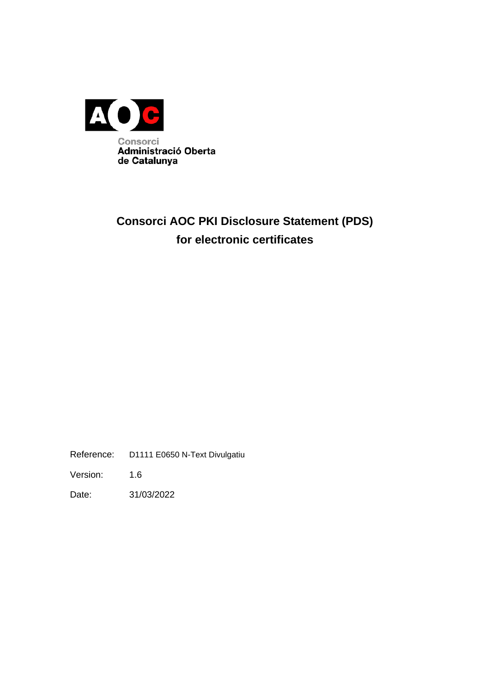

# **Consorci AOC PKI Disclosure Statement (PDS) for electronic certificates**

Reference: D1111 E0650 N-Text Divulgatiu

Version: 1.6

Date: 31/03/2022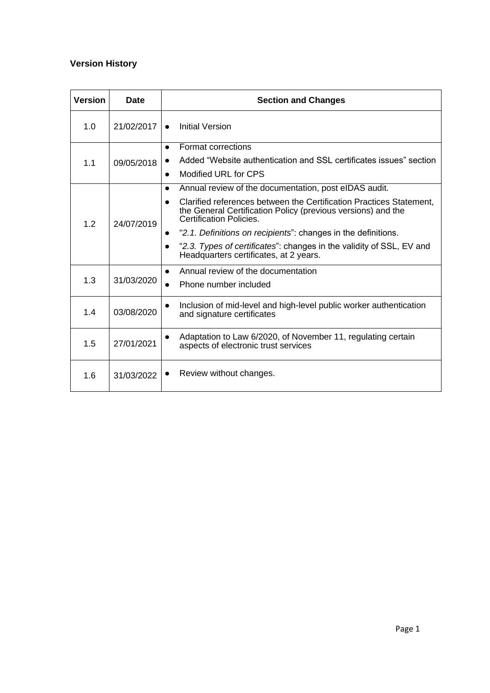## **Version History**

| <b>Version</b> | <b>Date</b> | <b>Section and Changes</b>                                                                                                                                                                                                                               |  |  |
|----------------|-------------|----------------------------------------------------------------------------------------------------------------------------------------------------------------------------------------------------------------------------------------------------------|--|--|
| 1.0            | 21/02/2017  | Initial Version                                                                                                                                                                                                                                          |  |  |
| 1.1            | 09/05/2018  | Format corrections<br>$\bullet$<br>Added "Website authentication and SSL certificates issues" section<br>Modified URL for CPS<br>$\bullet$                                                                                                               |  |  |
| 1.2            | 24/07/2019  | Annual review of the documentation, post eIDAS audit.<br>$\bullet$<br>Clarified references between the Certification Practices Statement,<br>$\bullet$<br>the General Certification Policy (previous versions) and the<br><b>Certification Policies.</b> |  |  |
|                |             | "2.1. Definitions on recipients": changes in the definitions.<br>$\bullet$<br>"2.3. Types of certificates": changes in the validity of SSL, EV and<br>$\bullet$<br>Headquarters certificates, at 2 years.                                                |  |  |
| 1.3            | 31/03/2020  | Annual review of the documentation<br>$\bullet$<br>Phone number included<br>$\bullet$                                                                                                                                                                    |  |  |
| 1.4            | 03/08/2020  | Inclusion of mid-level and high-level public worker authentication<br>$\bullet$<br>and signature certificates                                                                                                                                            |  |  |
| 1.5            | 27/01/2021  | Adaptation to Law 6/2020, of November 11, regulating certain<br>$\bullet$<br>aspects of electronic trust services                                                                                                                                        |  |  |
| 1.6            | 31/03/2022  | Review without changes.<br>$\bullet$                                                                                                                                                                                                                     |  |  |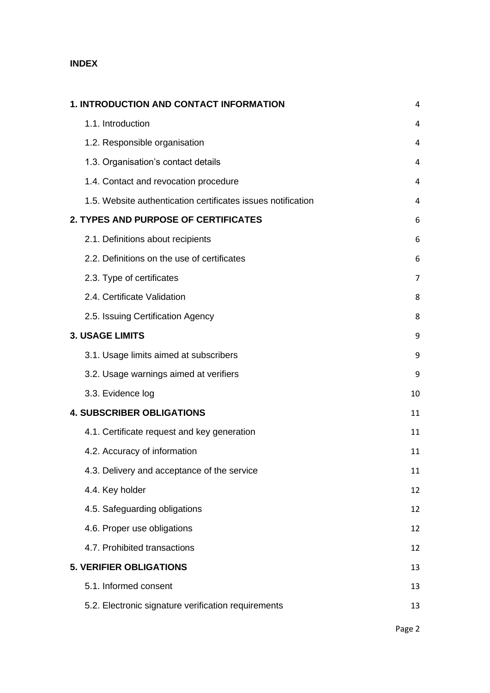## **INDEX**

| <b>1. INTRODUCTION AND CONTACT INFORMATION</b>               | 4  |
|--------------------------------------------------------------|----|
| 1.1. Introduction                                            | 4  |
| 1.2. Responsible organisation                                | 4  |
| 1.3. Organisation's contact details                          | 4  |
| 1.4. Contact and revocation procedure                        | 4  |
| 1.5. Website authentication certificates issues notification | 4  |
| 2. TYPES AND PURPOSE OF CERTIFICATES                         | 6  |
| 2.1. Definitions about recipients                            | 6  |
| 2.2. Definitions on the use of certificates                  | 6  |
| 2.3. Type of certificates                                    | 7  |
| 2.4. Certificate Validation                                  | 8  |
| 2.5. Issuing Certification Agency                            | 8  |
| <b>3. USAGE LIMITS</b>                                       | 9  |
| 3.1. Usage limits aimed at subscribers                       | 9  |
| 3.2. Usage warnings aimed at verifiers                       | 9  |
| 3.3. Evidence log                                            | 10 |
| <b>4. SUBSCRIBER OBLIGATIONS</b>                             | 11 |
| 4.1. Certificate request and key generation                  | 11 |
| 4.2. Accuracy of information                                 | 11 |
| 4.3. Delivery and acceptance of the service                  | 11 |
| 4.4. Key holder                                              | 12 |
| 4.5. Safeguarding obligations                                | 12 |
| 4.6. Proper use obligations                                  | 12 |
| 4.7. Prohibited transactions                                 | 12 |
| <b>5. VERIFIER OBLIGATIONS</b>                               | 13 |
| 5.1. Informed consent                                        | 13 |
| 5.2. Electronic signature verification requirements          | 13 |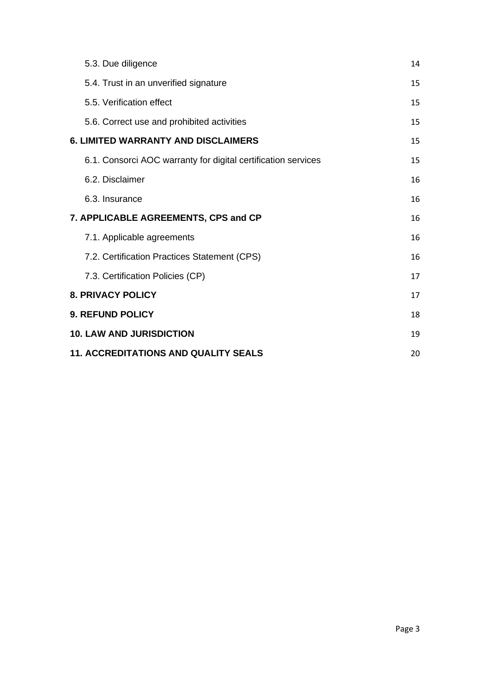| 5.3. Due diligence                                            | 14 |
|---------------------------------------------------------------|----|
| 5.4. Trust in an unverified signature                         | 15 |
| 5.5. Verification effect                                      | 15 |
| 5.6. Correct use and prohibited activities                    | 15 |
| <b>6. LIMITED WARRANTY AND DISCLAIMERS</b>                    | 15 |
| 6.1. Consorci AOC warranty for digital certification services | 15 |
| 6.2. Disclaimer                                               | 16 |
| 6.3. Insurance                                                | 16 |
| 7. APPLICABLE AGREEMENTS, CPS and CP                          | 16 |
| 7.1. Applicable agreements                                    | 16 |
| 7.2. Certification Practices Statement (CPS)                  | 16 |
| 7.3. Certification Policies (CP)                              | 17 |
| <b>8. PRIVACY POLICY</b>                                      | 17 |
| <b>9. REFUND POLICY</b>                                       | 18 |
| <b>10. LAW AND JURISDICTION</b>                               | 19 |
| <b>11. ACCREDITATIONS AND QUALITY SEALS</b>                   | 20 |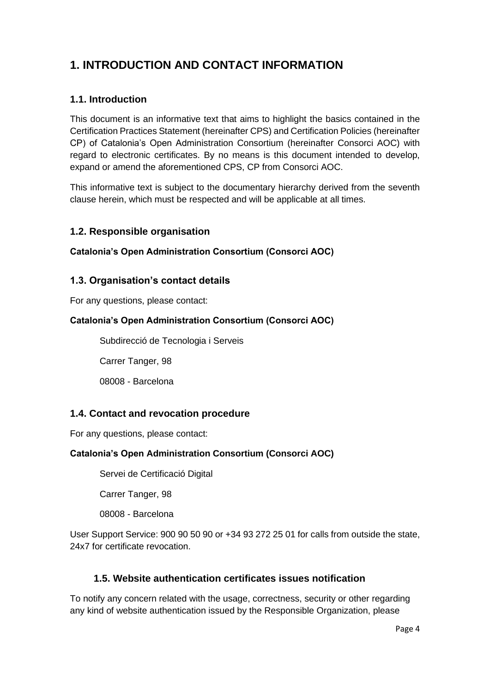## <span id="page-4-0"></span>**1. INTRODUCTION AND CONTACT INFORMATION**

## <span id="page-4-1"></span>**1.1. Introduction**

This document is an informative text that aims to highlight the basics contained in the Certification Practices Statement (hereinafter CPS) and Certification Policies (hereinafter CP) of Catalonia's Open Administration Consortium (hereinafter Consorci AOC) with regard to electronic certificates. By no means is this document intended to develop, expand or amend the aforementioned CPS, CP from Consorci AOC.

This informative text is subject to the documentary hierarchy derived from the seventh clause herein, which must be respected and will be applicable at all times.

#### <span id="page-4-2"></span>**1.2. Responsible organisation**

#### **Catalonia's Open Administration Consortium (Consorci AOC)**

#### <span id="page-4-3"></span>**1.3. Organisation's contact details**

For any questions, please contact:

#### **Catalonia's Open Administration Consortium (Consorci AOC)**

Subdirecció de Tecnologia i Serveis

Carrer Tanger, 98

08008 - Barcelona

#### <span id="page-4-4"></span>**1.4. Contact and revocation procedure**

For any questions, please contact:

#### **Catalonia's Open Administration Consortium (Consorci AOC)**

Servei de Certificació Digital

Carrer Tanger, 98

08008 - Barcelona

User Support Service: 900 90 50 90 or +34 93 272 25 01 for calls from outside the state, 24x7 for certificate revocation.

#### <span id="page-4-5"></span>**1.5. Website authentication certificates issues notification**

To notify any concern related with the usage, correctness, security or other regarding any kind of website authentication issued by the Responsible Organization, please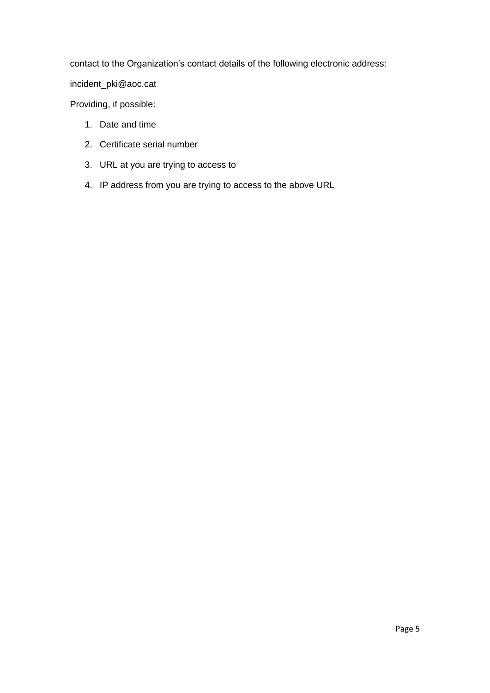contact to the Organization's contact details of the following electronic address:

incident\_pki@aoc.cat

Providing, if possible:

- 1. Date and time
- 2. Certificate serial number
- 3. URL at you are trying to access to
- 4. IP address from you are trying to access to the above URL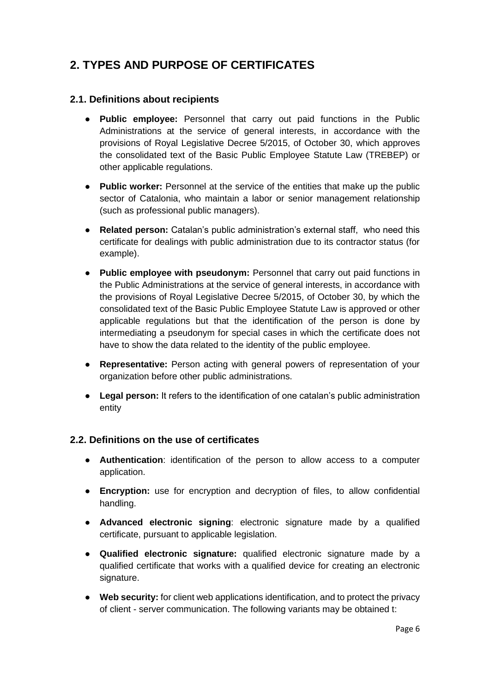## <span id="page-6-0"></span>**2. TYPES AND PURPOSE OF CERTIFICATES**

### <span id="page-6-1"></span>**2.1. Definitions about recipients**

- **Public employee:** Personnel that carry out paid functions in the Public Administrations at the service of general interests, in accordance with the provisions of Royal Legislative Decree 5/2015, of October 30, which approves the consolidated text of the Basic Public Employee Statute Law (TREBEP) or other applicable regulations.
- **Public worker:** Personnel at the service of the entities that make up the public sector of Catalonia, who maintain a labor or senior management relationship (such as professional public managers).
- **Related person:** Catalan's public administration's external staff, who need this certificate for dealings with public administration due to its contractor status (for example).
- **Public employee with pseudonym:** Personnel that carry out paid functions in the Public Administrations at the service of general interests, in accordance with the provisions of Royal Legislative Decree 5/2015, of October 30, by which the consolidated text of the Basic Public Employee Statute Law is approved or other applicable regulations but that the identification of the person is done by intermediating a pseudonym for special cases in which the certificate does not have to show the data related to the identity of the public employee.
- **Representative:** Person acting with general powers of representation of your organization before other public administrations.
- **Legal person:** It refers to the identification of one catalan's public administration entity

#### <span id="page-6-2"></span>**2.2. Definitions on the use of certificates**

- **Authentication**: identification of the person to allow access to a computer application.
- **Encryption:** use for encryption and decryption of files, to allow confidential handling.
- **Advanced electronic signing**: electronic signature made by a qualified certificate, pursuant to applicable legislation.
- **Qualified electronic signature:** qualified electronic signature made by a qualified certificate that works with a qualified device for creating an electronic signature.
- **Web security:** for client web applications identification, and to protect the privacy of client - server communication. The following variants may be obtained t: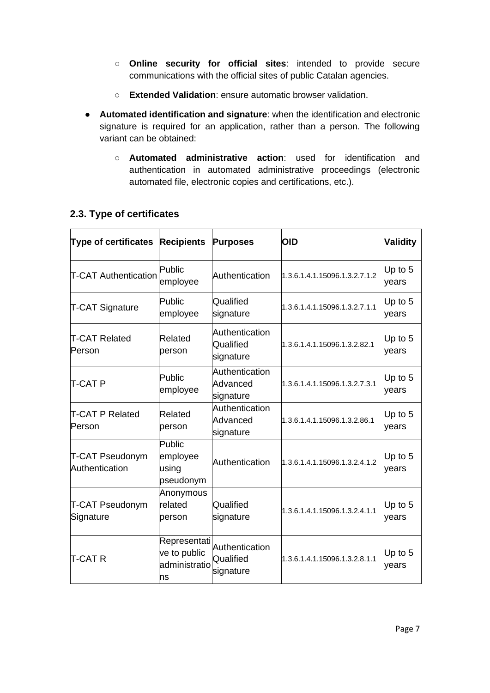- **Online security for official sites**: intended to provide secure communications with the official sites of public Catalan agencies.
- **Extended Validation**: ensure automatic browser validation.
- **Automated identification and signature**: when the identification and electronic signature is required for an application, rather than a person. The following variant can be obtained:
	- **Automated administrative action**: used for identification and authentication in automated administrative proceedings (electronic automated file, electronic copies and certifications, etc.).

| <b>Type of certificates</b>       | <b>Recipients</b>                                    | <b>Purposes</b>                          | OID                           | <b>Validity</b>    |
|-----------------------------------|------------------------------------------------------|------------------------------------------|-------------------------------|--------------------|
| <b>T-CAT Authentication</b>       | lPublic<br>employee                                  | Authentication                           | 1.3.6.1.4.1.15096.1.3.2.7.1.2 | Up to $5$<br>years |
| <b>T-CAT Signature</b>            | Public<br>employee                                   | Qualified<br>signature                   | 1.3.6.1.4.1.15096.1.3.2.7.1.1 | Up to $5$<br>years |
| <b>T-CAT Related</b><br>lPerson   | Related<br>person                                    | Authentication<br>Qualified<br>signature | 1.3.6.1.4.1.15096.1.3.2.82.1  | Up to $5$<br>vears |
| T-CAT P                           | Public<br>employee                                   | Authentication<br>Advanced<br>signature  | 1.3.6.1.4.1.15096.1.3.2.7.3.1 | Up to $5$<br>years |
| T-CAT P Related<br>Person         | Related<br>person                                    | Authentication<br>Advanced<br>signature  | 1.3.6.1.4.1.15096.1.3.2.86.1  | Up to $5$<br>years |
| T-CAT Pseudonym<br>Authentication | Public<br>employee<br>using<br>pseudonym             | Authentication                           | 1.3.6.1.4.1.15096.1.3.2.4.1.2 | Up to $5$<br>years |
| T-CAT Pseudonym<br>Signature      | Anonymous<br>related<br>person                       | Qualified<br>signature                   | 1.3.6.1.4.1.15096.1.3.2.4.1.1 | Up to $5$<br>years |
| T-CAT R                           | Representati<br>ve to public<br>administratio<br>Ins | Authentication<br>Qualified<br>signature | 1.3.6.1.4.1.15096.1.3.2.8.1.1 | Up to $5$<br>years |

## <span id="page-7-0"></span>**2.3. Type of certificates**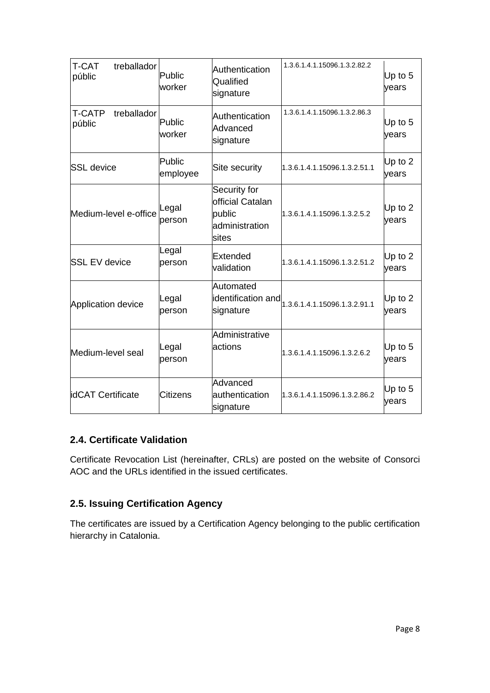| <b>T-CAT</b><br>treballador<br>públic  | Public<br>worker   | Authentication<br>Qualified<br>signature                              | 1.3.6.1.4.1.15096.1.3.2.82.2                                                                       | Up to $5$<br>vears |
|----------------------------------------|--------------------|-----------------------------------------------------------------------|----------------------------------------------------------------------------------------------------|--------------------|
| <b>T-CATP</b><br>treballador<br>públic | Public<br>worker   | Authentication<br>Advanced<br>signature                               | 1.3.6.1.4.1.15096.1.3.2.86.3                                                                       | Up to $5$<br>vears |
| <b>SSL</b> device                      | Public<br>employee | Site security                                                         | 1.3.6.1.4.1.15096.1.3.2.51.1                                                                       | Up to 2<br>years   |
| Medium-level e-office                  | Legal<br>person    | Security for<br>official Catalan<br>public<br>administration<br>sites | 1.3.6.1.4.1.15096.1.3.2.5.2                                                                        | Up to $2$<br>years |
| <b>SSL EV device</b>                   | Legal<br>person    | Extended<br>validation                                                | 1.3.6.1.4.1.15096.1.3.2.51.2                                                                       | Up to $2$<br>years |
| Application device                     | Legal<br>person    | Automated<br>signature                                                | $\left  \dot{a} \right $ dentification and $\left  \dot{a}_{1.3.6.1.4.1.15096.1.3.2.91.1} \right $ | Up to $2$<br>years |
| Medium-level seal                      | Legal<br>person    | Administrative<br>actions                                             | 1.3.6.1.4.1.15096.1.3.2.6.2                                                                        | Up to 5<br>years   |
| idCAT Certificate                      | <b>Citizens</b>    | Advanced<br>authentication<br>signature                               | 1.3.6.1.4.1.15096.1.3.2.86.2                                                                       | Up to $5$<br>years |

## <span id="page-8-0"></span>**2.4. Certificate Validation**

Certificate Revocation List (hereinafter, CRLs) are posted on the website of Consorci AOC and the URLs identified in the issued certificates.

## <span id="page-8-1"></span>**2.5. Issuing Certification Agency**

The certificates are issued by a Certification Agency belonging to the public certification hierarchy in Catalonia.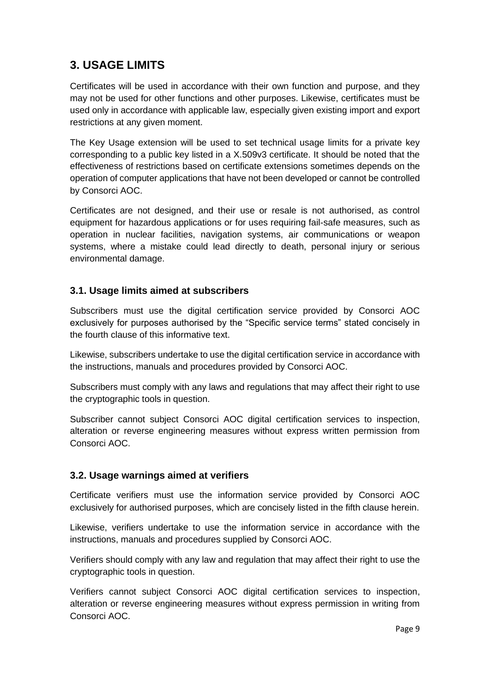## <span id="page-9-0"></span>**3. USAGE LIMITS**

Certificates will be used in accordance with their own function and purpose, and they may not be used for other functions and other purposes. Likewise, certificates must be used only in accordance with applicable law, especially given existing import and export restrictions at any given moment.

The Key Usage extension will be used to set technical usage limits for a private key corresponding to a public key listed in a X.509v3 certificate. It should be noted that the effectiveness of restrictions based on certificate extensions sometimes depends on the operation of computer applications that have not been developed or cannot be controlled by Consorci AOC.

Certificates are not designed, and their use or resale is not authorised, as control equipment for hazardous applications or for uses requiring fail-safe measures, such as operation in nuclear facilities, navigation systems, air communications or weapon systems, where a mistake could lead directly to death, personal injury or serious environmental damage.

#### <span id="page-9-1"></span>**3.1. Usage limits aimed at subscribers**

Subscribers must use the digital certification service provided by Consorci AOC exclusively for purposes authorised by the "Specific service terms" stated concisely in the fourth clause of this informative text.

Likewise, subscribers undertake to use the digital certification service in accordance with the instructions, manuals and procedures provided by Consorci AOC.

Subscribers must comply with any laws and regulations that may affect their right to use the cryptographic tools in question.

Subscriber cannot subiect Consorci AOC digital certification services to inspection, alteration or reverse engineering measures without express written permission from Consorci AOC.

#### <span id="page-9-2"></span>**3.2. Usage warnings aimed at verifiers**

Certificate verifiers must use the information service provided by Consorci AOC exclusively for authorised purposes, which are concisely listed in the fifth clause herein.

Likewise, verifiers undertake to use the information service in accordance with the instructions, manuals and procedures supplied by Consorci AOC.

Verifiers should comply with any law and regulation that may affect their right to use the cryptographic tools in question.

Verifiers cannot subject Consorci AOC digital certification services to inspection, alteration or reverse engineering measures without express permission in writing from Consorci AOC.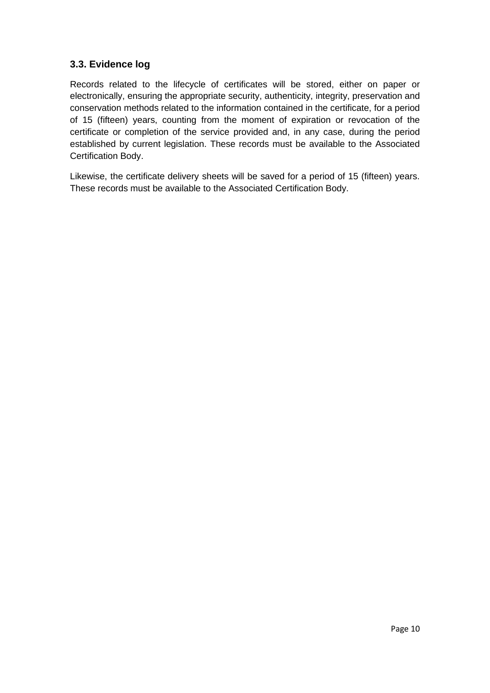### <span id="page-10-0"></span>**3.3. Evidence log**

Records related to the lifecycle of certificates will be stored, either on paper or electronically, ensuring the appropriate security, authenticity, integrity, preservation and conservation methods related to the information contained in the certificate, for a period of 15 (fifteen) years, counting from the moment of expiration or revocation of the certificate or completion of the service provided and, in any case, during the period established by current legislation. These records must be available to the Associated Certification Body.

Likewise, the certificate delivery sheets will be saved for a period of 15 (fifteen) years. These records must be available to the Associated Certification Body.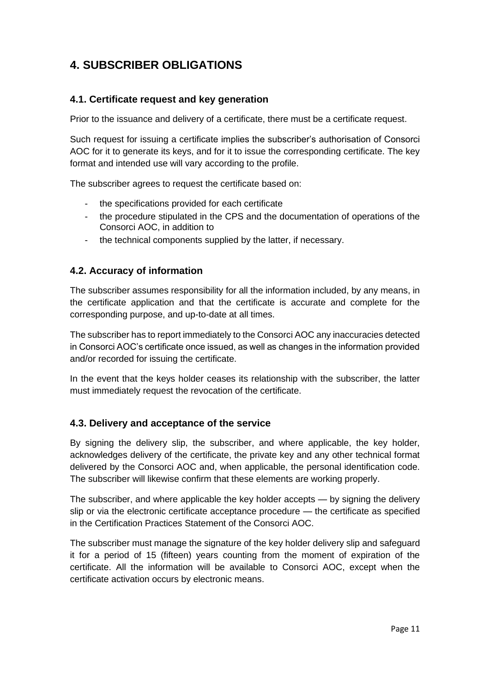## <span id="page-11-0"></span>**4. SUBSCRIBER OBLIGATIONS**

### <span id="page-11-1"></span>**4.1. Certificate request and key generation**

Prior to the issuance and delivery of a certificate, there must be a certificate request.

Such request for issuing a certificate implies the subscriber's authorisation of Consorci AOC for it to generate its keys, and for it to issue the corresponding certificate. The key format and intended use will vary according to the profile.

The subscriber agrees to request the certificate based on:

- the specifications provided for each certificate
- the procedure stipulated in the CPS and the documentation of operations of the Consorci AOC, in addition to
- the technical components supplied by the latter, if necessary.

### <span id="page-11-2"></span>**4.2. Accuracy of information**

The subscriber assumes responsibility for all the information included, by any means, in the certificate application and that the certificate is accurate and complete for the corresponding purpose, and up-to-date at all times.

The subscriber has to report immediately to the Consorci AOC any inaccuracies detected in Consorci AOC's certificate once issued, as well as changes in the information provided and/or recorded for issuing the certificate.

In the event that the keys holder ceases its relationship with the subscriber, the latter must immediately request the revocation of the certificate.

#### <span id="page-11-3"></span>**4.3. Delivery and acceptance of the service**

By signing the delivery slip, the subscriber, and where applicable, the key holder, acknowledges delivery of the certificate, the private key and any other technical format delivered by the Consorci AOC and, when applicable, the personal identification code. The subscriber will likewise confirm that these elements are working properly.

The subscriber, and where applicable the key holder accepts — by signing the delivery slip or via the electronic certificate acceptance procedure — the certificate as specified in the Certification Practices Statement of the Consorci AOC.

The subscriber must manage the signature of the key holder delivery slip and safeguard it for a period of 15 (fifteen) years counting from the moment of expiration of the certificate. All the information will be available to Consorci AOC, except when the certificate activation occurs by electronic means.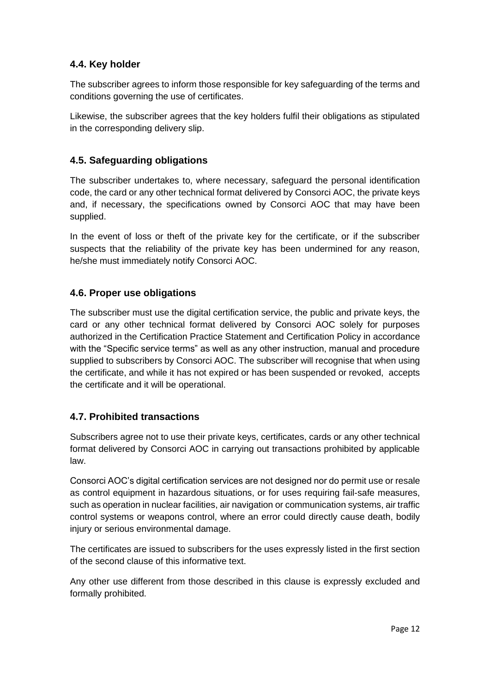## <span id="page-12-0"></span>**4.4. Key holder**

The subscriber agrees to inform those responsible for key safeguarding of the terms and conditions governing the use of certificates.

Likewise, the subscriber agrees that the key holders fulfil their obligations as stipulated in the corresponding delivery slip.

### <span id="page-12-1"></span>**4.5. Safeguarding obligations**

The subscriber undertakes to, where necessary, safeguard the personal identification code, the card or any other technical format delivered by Consorci AOC, the private keys and, if necessary, the specifications owned by Consorci AOC that may have been supplied.

In the event of loss or theft of the private key for the certificate, or if the subscriber suspects that the reliability of the private key has been undermined for any reason, he/she must immediately notify Consorci AOC.

#### <span id="page-12-2"></span>**4.6. Proper use obligations**

The subscriber must use the digital certification service, the public and private keys, the card or any other technical format delivered by Consorci AOC solely for purposes authorized in the Certification Practice Statement and Certification Policy in accordance with the "Specific service terms" as well as any other instruction, manual and procedure supplied to subscribers by Consorci AOC. The subscriber will recognise that when using the certificate, and while it has not expired or has been suspended or revoked, accepts the certificate and it will be operational.

#### <span id="page-12-3"></span>**4.7. Prohibited transactions**

Subscribers agree not to use their private keys, certificates, cards or any other technical format delivered by Consorci AOC in carrying out transactions prohibited by applicable law.

Consorci AOC's digital certification services are not designed nor do permit use or resale as control equipment in hazardous situations, or for uses requiring fail-safe measures, such as operation in nuclear facilities, air navigation or communication systems, air traffic control systems or weapons control, where an error could directly cause death, bodily injury or serious environmental damage.

The certificates are issued to subscribers for the uses expressly listed in the first section of the second clause of this informative text.

Any other use different from those described in this clause is expressly excluded and formally prohibited.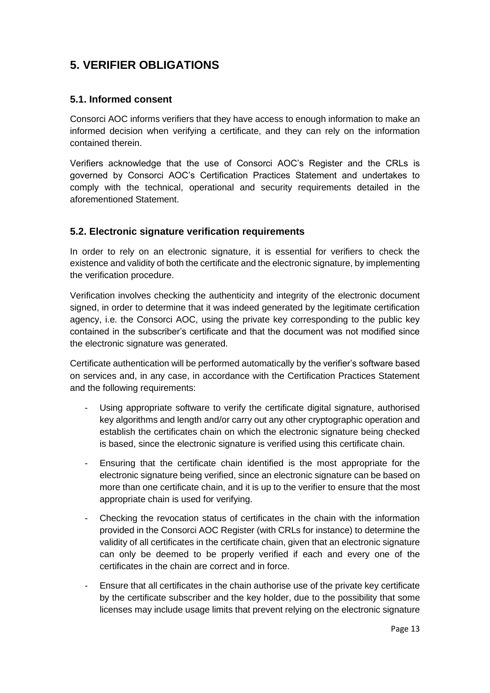## <span id="page-13-0"></span>**5. VERIFIER OBLIGATIONS**

### <span id="page-13-1"></span>**5.1. Informed consent**

Consorci AOC informs verifiers that they have access to enough information to make an informed decision when verifying a certificate, and they can rely on the information contained therein.

Verifiers acknowledge that the use of Consorci AOC's Register and the CRLs is governed by Consorci AOC's Certification Practices Statement and undertakes to comply with the technical, operational and security requirements detailed in the aforementioned Statement.

#### <span id="page-13-2"></span>**5.2. Electronic signature verification requirements**

In order to rely on an electronic signature, it is essential for verifiers to check the existence and validity of both the certificate and the electronic signature, by implementing the verification procedure.

Verification involves checking the authenticity and integrity of the electronic document signed, in order to determine that it was indeed generated by the legitimate certification agency, i.e. the Consorci AOC, using the private key corresponding to the public key contained in the subscriber's certificate and that the document was not modified since the electronic signature was generated.

Certificate authentication will be performed automatically by the verifier's software based on services and, in any case, in accordance with the Certification Practices Statement and the following requirements:

- Using appropriate software to verify the certificate digital signature, authorised key algorithms and length and/or carry out any other cryptographic operation and establish the certificates chain on which the electronic signature being checked is based, since the electronic signature is verified using this certificate chain.
- Ensuring that the certificate chain identified is the most appropriate for the electronic signature being verified, since an electronic signature can be based on more than one certificate chain, and it is up to the verifier to ensure that the most appropriate chain is used for verifying.
- Checking the revocation status of certificates in the chain with the information provided in the Consorci AOC Register (with CRLs for instance) to determine the validity of all certificates in the certificate chain, given that an electronic signature can only be deemed to be properly verified if each and every one of the certificates in the chain are correct and in force.
- Ensure that all certificates in the chain authorise use of the private key certificate by the certificate subscriber and the key holder, due to the possibility that some licenses may include usage limits that prevent relying on the electronic signature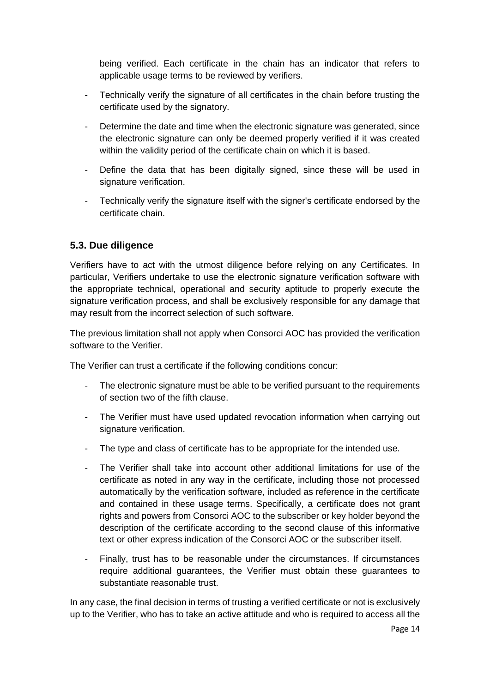being verified. Each certificate in the chain has an indicator that refers to applicable usage terms to be reviewed by verifiers.

- Technically verify the signature of all certificates in the chain before trusting the certificate used by the signatory.
- Determine the date and time when the electronic signature was generated, since the electronic signature can only be deemed properly verified if it was created within the validity period of the certificate chain on which it is based.
- Define the data that has been digitally signed, since these will be used in signature verification.
- Technically verify the signature itself with the signer's certificate endorsed by the certificate chain.

## <span id="page-14-0"></span>**5.3. Due diligence**

Verifiers have to act with the utmost diligence before relying on any Certificates. In particular, Verifiers undertake to use the electronic signature verification software with the appropriate technical, operational and security aptitude to properly execute the signature verification process, and shall be exclusively responsible for any damage that may result from the incorrect selection of such software.

The previous limitation shall not apply when Consorci AOC has provided the verification software to the Verifier.

The Verifier can trust a certificate if the following conditions concur:

- The electronic signature must be able to be verified pursuant to the requirements of section two of the fifth clause.
- The Verifier must have used updated revocation information when carrying out signature verification.
- The type and class of certificate has to be appropriate for the intended use.
- The Verifier shall take into account other additional limitations for use of the certificate as noted in any way in the certificate, including those not processed automatically by the verification software, included as reference in the certificate and contained in these usage terms. Specifically, a certificate does not grant rights and powers from Consorci AOC to the subscriber or key holder beyond the description of the certificate according to the second clause of this informative text or other express indication of the Consorci AOC or the subscriber itself.
- Finally, trust has to be reasonable under the circumstances. If circumstances require additional guarantees, the Verifier must obtain these guarantees to substantiate reasonable trust.

In any case, the final decision in terms of trusting a verified certificate or not is exclusively up to the Verifier, who has to take an active attitude and who is required to access all the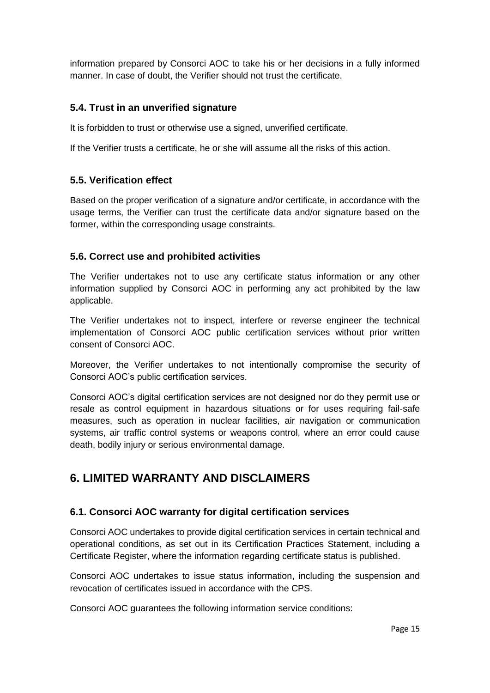information prepared by Consorci AOC to take his or her decisions in a fully informed manner. In case of doubt, the Verifier should not trust the certificate.

### <span id="page-15-0"></span>**5.4. Trust in an unverified signature**

It is forbidden to trust or otherwise use a signed, unverified certificate.

If the Verifier trusts a certificate, he or she will assume all the risks of this action.

### <span id="page-15-1"></span>**5.5. Verification effect**

Based on the proper verification of a signature and/or certificate, in accordance with the usage terms, the Verifier can trust the certificate data and/or signature based on the former, within the corresponding usage constraints.

### <span id="page-15-2"></span>**5.6. Correct use and prohibited activities**

The Verifier undertakes not to use any certificate status information or any other information supplied by Consorci AOC in performing any act prohibited by the law applicable.

The Verifier undertakes not to inspect, interfere or reverse engineer the technical implementation of Consorci AOC public certification services without prior written consent of Consorci AOC.

Moreover, the Verifier undertakes to not intentionally compromise the security of Consorci AOC's public certification services.

Consorci AOC's digital certification services are not designed nor do they permit use or resale as control equipment in hazardous situations or for uses requiring fail-safe measures, such as operation in nuclear facilities, air navigation or communication systems, air traffic control systems or weapons control, where an error could cause death, bodily injury or serious environmental damage.

## <span id="page-15-3"></span>**6. LIMITED WARRANTY AND DISCLAIMERS**

#### <span id="page-15-4"></span>**6.1. Consorci AOC warranty for digital certification services**

Consorci AOC undertakes to provide digital certification services in certain technical and operational conditions, as set out in its Certification Practices Statement, including a Certificate Register, where the information regarding certificate status is published.

Consorci AOC undertakes to issue status information, including the suspension and revocation of certificates issued in accordance with the CPS.

Consorci AOC guarantees the following information service conditions: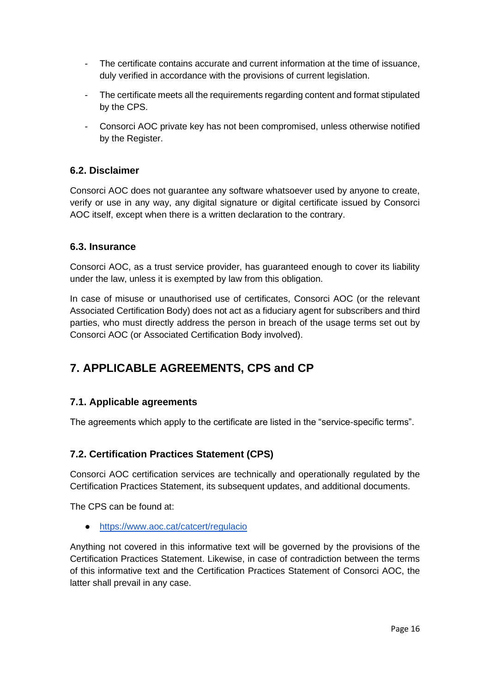- The certificate contains accurate and current information at the time of issuance, duly verified in accordance with the provisions of current legislation.
- The certificate meets all the requirements regarding content and format stipulated by the CPS.
- Consorci AOC private key has not been compromised, unless otherwise notified by the Register.

## <span id="page-16-0"></span>**6.2. Disclaimer**

Consorci AOC does not guarantee any software whatsoever used by anyone to create, verify or use in any way, any digital signature or digital certificate issued by Consorci AOC itself, except when there is a written declaration to the contrary.

#### <span id="page-16-1"></span>**6.3. Insurance**

Consorci AOC, as a trust service provider, has guaranteed enough to cover its liability under the law, unless it is exempted by law from this obligation.

In case of misuse or unauthorised use of certificates, Consorci AOC (or the relevant Associated Certification Body) does not act as a fiduciary agent for subscribers and third parties, who must directly address the person in breach of the usage terms set out by Consorci AOC (or Associated Certification Body involved).

## <span id="page-16-2"></span>**7. APPLICABLE AGREEMENTS, CPS and CP**

#### <span id="page-16-3"></span>**7.1. Applicable agreements**

The agreements which apply to the certificate are listed in the "service-specific terms".

## <span id="page-16-4"></span>**7.2. Certification Practices Statement (CPS)**

Consorci AOC certification services are technically and operationally regulated by the Certification Practices Statement, its subsequent updates, and additional documents.

The CPS can be found at:

● <https://www.aoc.cat/catcert/regulacio>

Anything not covered in this informative text will be governed by the provisions of the Certification Practices Statement. Likewise, in case of contradiction between the terms of this informative text and the Certification Practices Statement of Consorci AOC, the latter shall prevail in any case.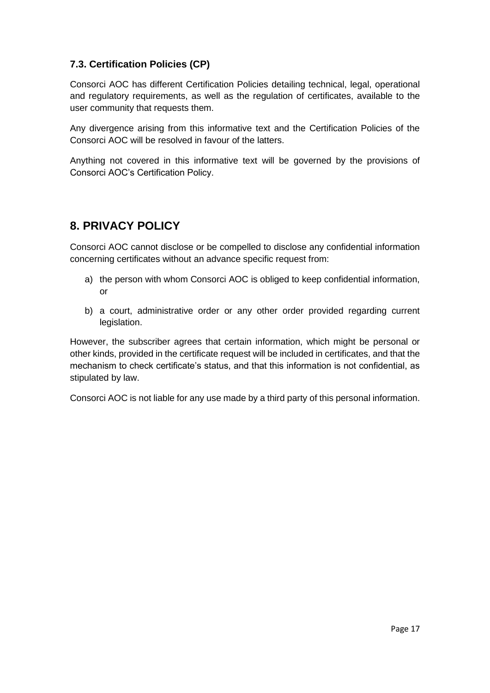## <span id="page-17-0"></span>**7.3. Certification Policies (CP)**

Consorci AOC has different Certification Policies detailing technical, legal, operational and regulatory requirements, as well as the regulation of certificates, available to the user community that requests them.

Any divergence arising from this informative text and the Certification Policies of the Consorci AOC will be resolved in favour of the latters.

Anything not covered in this informative text will be governed by the provisions of Consorci AOC's Certification Policy.

## <span id="page-17-1"></span>**8. PRIVACY POLICY**

Consorci AOC cannot disclose or be compelled to disclose any confidential information concerning certificates without an advance specific request from:

- a) the person with whom Consorci AOC is obliged to keep confidential information, or
- b) a court, administrative order or any other order provided regarding current legislation.

However, the subscriber agrees that certain information, which might be personal or other kinds, provided in the certificate request will be included in certificates, and that the mechanism to check certificate's status, and that this information is not confidential, as stipulated by law.

Consorci AOC is not liable for any use made by a third party of this personal information.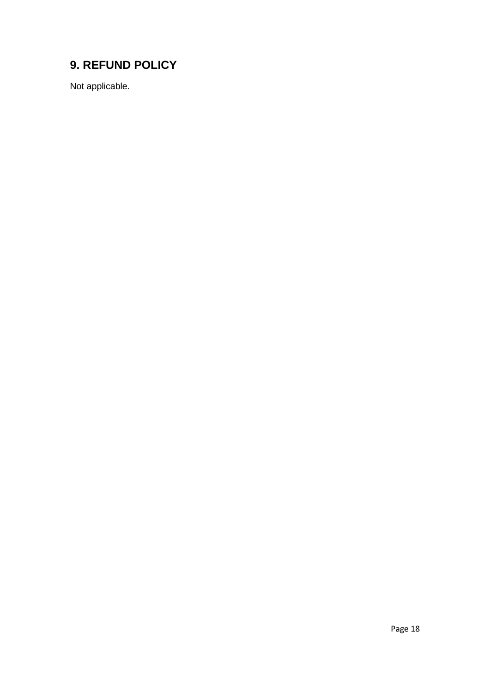## <span id="page-18-0"></span>**9. REFUND POLICY**

Not applicable.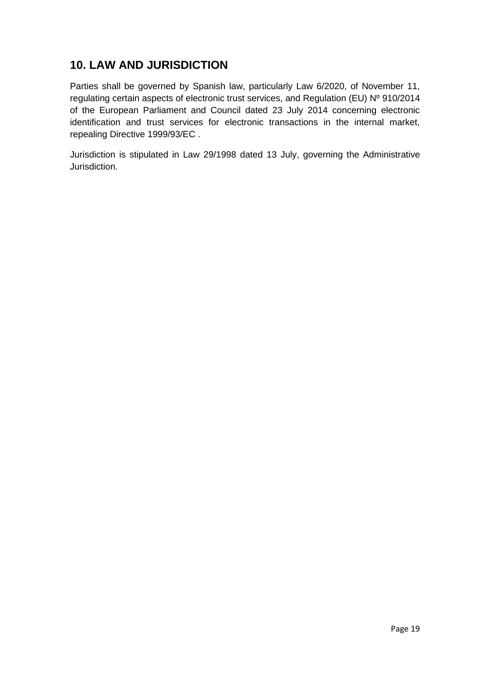## <span id="page-19-0"></span>**10. LAW AND JURISDICTION**

Parties shall be governed by Spanish law, particularly Law 6/2020, of November 11, regulating certain aspects of electronic trust services, and Regulation (EU) Nº 910/2014 of the European Parliament and Council dated 23 July 2014 concerning electronic identification and trust services for electronic transactions in the internal market, repealing Directive 1999/93/EC .

Jurisdiction is stipulated in Law 29/1998 dated 13 July, governing the Administrative Jurisdiction.